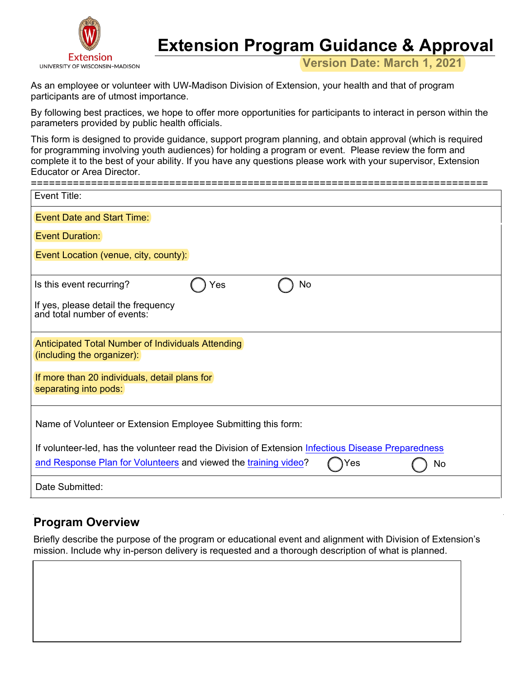

# **Extension Program Guidance & Approval**

**Version Date: March 1, 2021**

As an employee or volunteer with UW-Madison Division of Extension, your health and that of program participants are of utmost importance.

By following best practices, we hope to offer more opportunities for participants to interact in person within the parameters provided by public health officials.

This form is designed to provide guidance, support program planning, and obtain approval (which is required for programming involving youth audiences) for holding a program or event. Please review the form and complete it to the best of your ability. If you have any questions please work with your supervisor, Extension Educator or Area Director.

| Event Title:                                                                                       |
|----------------------------------------------------------------------------------------------------|
| Event Date and Start Time:                                                                         |
| <b>Event Duration:</b>                                                                             |
| Event Location (venue, city, county):                                                              |
|                                                                                                    |
| Is this event recurring?<br>No<br>Yes                                                              |
| If yes, please detail the frequency<br>and total number of events:                                 |
| Anticipated Total Number of Individuals Attending<br>(including the organizer):                    |
| If more than 20 individuals, detail plans for<br>separating into pods:                             |
| Name of Volunteer or Extension Employee Submitting this form:                                      |
| If volunteer-led, has the volunteer read the Division of Extension Infectious Disease Preparedness |
|                                                                                                    |
| and Response Plan for Volunteers and viewed the training video?<br>No<br>Yes                       |
| Date Submitted:                                                                                    |

# **Program Overview**

Briefly describe the purpose of the program or educational event and alignment with Division of Extension's mission. Include why in-person delivery is requested and a thorough description of what is planned.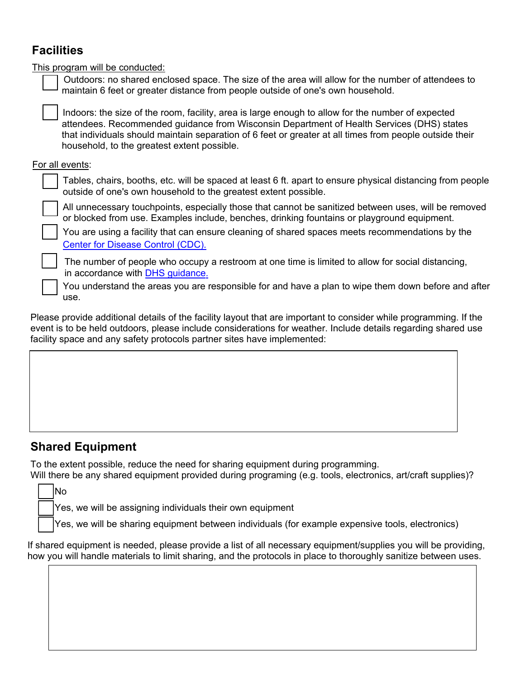# **Facilities**

| This program will be conducted:                                                                                                                                                                                                                                                                                                                          |  |  |  |  |
|----------------------------------------------------------------------------------------------------------------------------------------------------------------------------------------------------------------------------------------------------------------------------------------------------------------------------------------------------------|--|--|--|--|
| Outdoors: no shared enclosed space. The size of the area will allow for the number of attendees to<br>maintain 6 feet or greater distance from people outside of one's own household.                                                                                                                                                                    |  |  |  |  |
| Indoors: the size of the room, facility, area is large enough to allow for the number of expected<br>attendees. Recommended guidance from Wisconsin Department of Health Services (DHS) states<br>that individuals should maintain separation of 6 feet or greater at all times from people outside their<br>household, to the greatest extent possible. |  |  |  |  |
| For all events:                                                                                                                                                                                                                                                                                                                                          |  |  |  |  |
| Tables, chairs, booths, etc. will be spaced at least 6 ft. apart to ensure physical distancing from people<br>outside of one's own household to the greatest extent possible.                                                                                                                                                                            |  |  |  |  |
| All unnecessary touchpoints, especially those that cannot be sanitized between uses, will be removed<br>or blocked from use. Examples include, benches, drinking fountains or playground equipment.                                                                                                                                                      |  |  |  |  |
| You are using a facility that can ensure cleaning of shared spaces meets recommendations by the<br>Center for Disease Control (CDC).                                                                                                                                                                                                                     |  |  |  |  |
| The number of people who occupy a restroom at one time is limited to allow for social distancing,<br>in accordance with DHS guidance.                                                                                                                                                                                                                    |  |  |  |  |
| You understand the areas you are responsible for and have a plan to wipe them down before and after<br>use.                                                                                                                                                                                                                                              |  |  |  |  |
|                                                                                                                                                                                                                                                                                                                                                          |  |  |  |  |

Please provide additional details of the facility layout that are important to consider while programming. If the event is to be held outdoors, please include considerations for weather. Include details regarding shared use facility space and any safety protocols partner sites have implemented:

### **Shared Equipment**

To the extent possible, reduce the need for sharing equipment during programming.

Will there be any shared equipment provided during programing (e.g. tools, electronics, art/craft supplies)? No

Yes, we will be assigning individuals their own equipment

Yes, we will be sharing equipment between individuals (for example expensive tools, electronics)

If shared equipment is needed, please provide a list of all necessary equipment/supplies you will be providing, how you will handle materials to limit sharing, and the protocols in place to thoroughly sanitize between uses.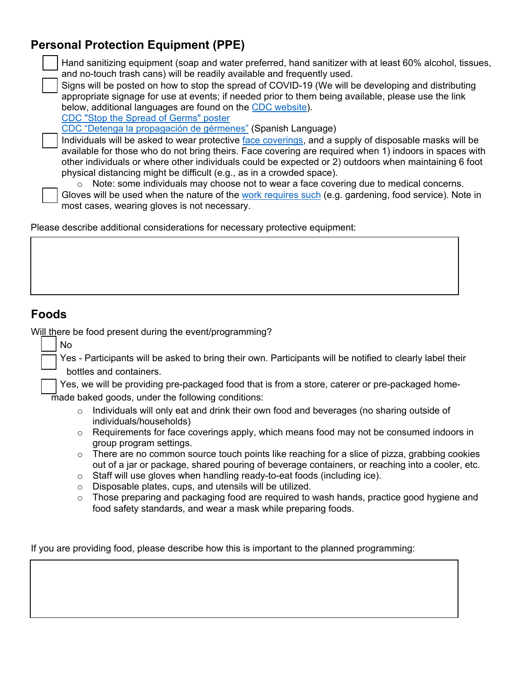# **Personal Protection Equipment (PPE)**

| Hand sanitizing equipment (soap and water preferred, hand sanitizer with at least 60% alcohol, tissues, |
|---------------------------------------------------------------------------------------------------------|
| and no-touch trash cans) will be readily available and frequently used.                                 |

 Signs will be posted on how to stop the spread of COVID-19 (We will be developing and distributing appropriate signage for use at events; if needed prior to them being available, please use the link below, additional languages are found on the [CDC website](https://www.cdc.gov/coronavirus/2019-ncov/communication/print-resources.html?Sort=Date%3A%3Adesc)).

[CDC "Stop the Spread of Germs" poster](https://www.cdc.gov/coronavirus/2019-ncov/downloads/stop-the-spread-of-germs-11x17-en.pdf)

[CDC "Detenga la propagación de gérmenes"](https://www.cdc.gov/coronavirus/2019-ncov/downloads/stop-the-spread-of-germs-sp.pdf) (Spanish Language)

 Individuals will be asked to wear protective [face coverings,](https://www.cdc.gov/coronavirus/2019-ncov/prevent-getting-sick/cloth-face-cover-guidance.html?CDC_AA_refVal=https%3A%2F%2Fwww.cdc.gov%2Fcoronavirus%2F2019-ncov%2Fprevent-getting-sick%2Fcloth-face-cover.html) and a supply of disposable masks will be available for those who do not bring theirs. Face covering are required when 1) indoors in spaces with other individuals or where other individuals could be expected or 2) outdoors when maintaining 6 foot physical distancing might be difficult (e.g., as in a crowded space).

 $\circ$  Note: some individuals may choose not to wear a face covering due to medical concerns.

 Gloves will be used when the nature of the [work requires such](https://www.cdc.gov/coronavirus/2019-ncov/prevent-getting-sick/gloves.html) (e.g. gardening, food service). Note in most cases, wearing gloves is not necessary.

Please describe additional considerations for necessary protective equipment:

## **Foods**

No

Will there be food present during the event/programming?

 Yes - Participants will be asked to bring their own. Participants will be notified to clearly label their bottles and containers.

 Yes, we will be providing pre-packaged food that is from a store, caterer or pre-packaged homemade baked goods, under the following conditions:

- o Individuals will only eat and drink their own food and beverages (no sharing outside of individuals/households)
- $\circ$  Requirements for face coverings apply, which means food may not be consumed indoors in group program settings.
- $\circ$  There are no common source touch points like reaching for a slice of pizza, grabbing cookies out of a jar or package, shared pouring of beverage containers, or reaching into a cooler, etc.
- o Staff will use gloves when handling ready-to-eat foods (including ice).
- o Disposable plates, cups, and utensils will be utilized.
- $\circ$  Those preparing and packaging food are required to wash hands, practice good hygiene and food safety standards, and wear a mask while preparing foods.

If you are providing food, please describe how this is important to the planned programming: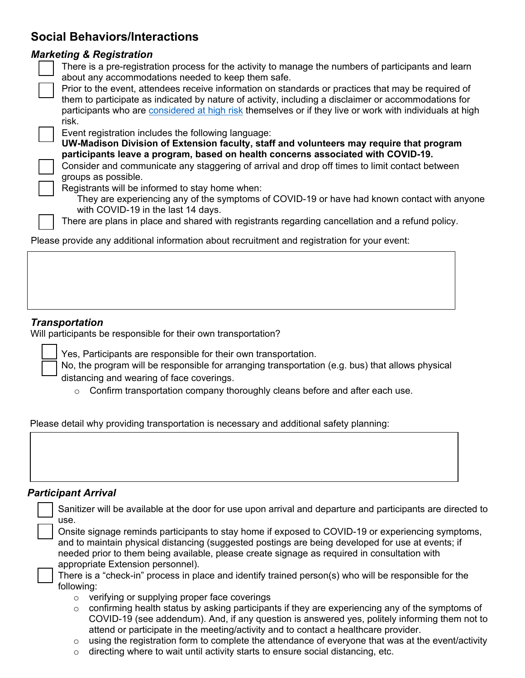# **Social Behaviors/Interactions**

#### *Marketing & Registration*

 There is a pre-registration process for the activity to manage the numbers of participants and learn about any accommodations needed to keep them safe.

participants who are <u>[considered at high risk](https://www.cdc.gov/coronavirus/2019-ncov/need-extra-precautions/people-at-higher-risk.html?CDC_AA_refVal=https%3A%2F%2Fwww.cdc.gov%2Fcoronavirus%2F2019-ncov%2Fspecific-groups%2Fhigh-risk-complications.html)</u> themselves or if they live or work with individuals at high risk. Prior to the event, attendees receive information on standards or practices that may be required of them to participate as indicated by nature of activity, including a disclaimer or accommodations for

Event registration includes the following language:

**UW-Madison Division of Extension faculty, staff and volunteers may require that program participants leave a program, based on health concerns associated with COVID-19.** 

 Consider and communicate any staggering of arrival and drop off times to limit contact between groups as possible.

Registrants will be informed to stay home when:

They are experiencing any of the symptoms of COVID-19 or have had known contact with anyone with COVID-19 in the last 14 days.

There are plans in place and shared with registrants regarding cancellation and a refund policy.

Please provide any additional information about recruitment and registration for your event:

#### *Transportation*

Will participants be responsible for their own transportation?

Yes, Participants are responsible for their own transportation.

 No, the program will be responsible for arranging transportation (e.g. bus) that allows physical distancing and wearing of face coverings.

 $\circ$  Confirm transportation company thoroughly cleans before and after each use.

Please detail why providing transportation is necessary and additional safety planning:

#### *Participant Arrival*

|                                                                                                                                                                                                                                                                                                                                                                                                                                                                    | use.    | Sanitizer will be available at the door for use upon arrival and departure and participants are directed to                                                                          |  |
|--------------------------------------------------------------------------------------------------------------------------------------------------------------------------------------------------------------------------------------------------------------------------------------------------------------------------------------------------------------------------------------------------------------------------------------------------------------------|---------|--------------------------------------------------------------------------------------------------------------------------------------------------------------------------------------|--|
| Onsite signage reminds participants to stay home if exposed to COVID-19 or experiencing symptoms,<br>and to maintain physical distancing (suggested postings are being developed for use at events; if<br>needed prior to them being available, please create signage as required in consultation with<br>appropriate Extension personnel).<br>There is a "check-in" process in place and identify trained person(s) who will be responsible for the<br>following: |         |                                                                                                                                                                                      |  |
|                                                                                                                                                                                                                                                                                                                                                                                                                                                                    |         |                                                                                                                                                                                      |  |
|                                                                                                                                                                                                                                                                                                                                                                                                                                                                    | $\circ$ | confirming health status by asking participants if they are experiencing any of the symptoms of                                                                                      |  |
|                                                                                                                                                                                                                                                                                                                                                                                                                                                                    |         | COVID-19 (see addendum). And, if any question is answered yes, politely informing them not to<br>attend or participate in the meeting/activity and to contact a healthcare provider. |  |
|                                                                                                                                                                                                                                                                                                                                                                                                                                                                    | $\circ$ | using the registration form to complete the attendance of everyone that was at the event/activity                                                                                    |  |
|                                                                                                                                                                                                                                                                                                                                                                                                                                                                    | O       | directing where to wait until activity starts to ensure social distancing, etc.                                                                                                      |  |